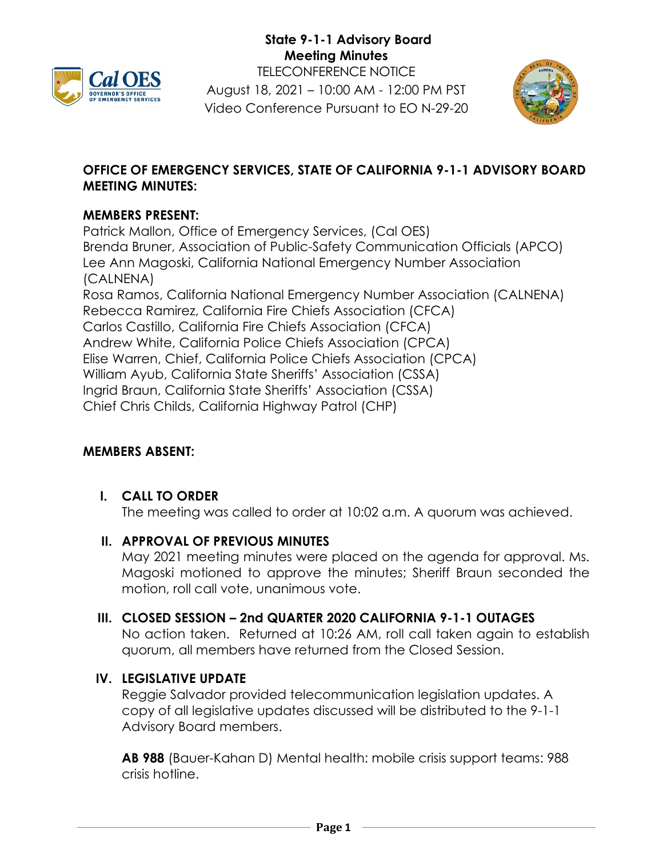



## **OFFICE OF EMERGENCY SERVICES, STATE OF CALIFORNIA 9-1-1 ADVISORY BOARD MEETING MINUTES:**

#### **MEMBERS PRESENT:**

Patrick Mallon, Office of Emergency Services, (Cal OES) Brenda Bruner, Association of Public-Safety Communication Officials (APCO) Lee Ann Magoski, California National Emergency Number Association (CALNENA) Rosa Ramos, California National Emergency Number Association (CALNENA) Rebecca Ramirez, California Fire Chiefs Association (CFCA) Carlos Castillo, California Fire Chiefs Association (CFCA) Andrew White, California Police Chiefs Association (CPCA) Elise Warren, Chief, California Police Chiefs Association (CPCA) William Ayub, California State Sheriffs' Association (CSSA) Ingrid Braun, California State Sheriffs' Association (CSSA) Chief Chris Childs, California Highway Patrol (CHP)

## **MEMBERS ABSENT:**

## **I. CALL TO ORDER**

The meeting was called to order at 10:02 a.m. A quorum was achieved.

## **II. APPROVAL OF PREVIOUS MINUTES**

May 2021 meeting minutes were placed on the agenda for approval. Ms. Magoski motioned to approve the minutes; Sheriff Braun seconded the motion, roll call vote, unanimous vote.

#### **III. CLOSED SESSION – 2nd QUARTER 2020 CALIFORNIA 9-1-1 OUTAGES**

No action taken. Returned at 10:26 AM, roll call taken again to establish quorum, all members have returned from the Closed Session.

## **IV. LEGISLATIVE UPDATE**

Reggie Salvador provided telecommunication legislation updates. A copy of all legislative updates discussed will be distributed to the 9-1-1 Advisory Board members.

**AB 988** (Bauer-Kahan D) Mental health: mobile crisis support teams: 988 crisis hotline.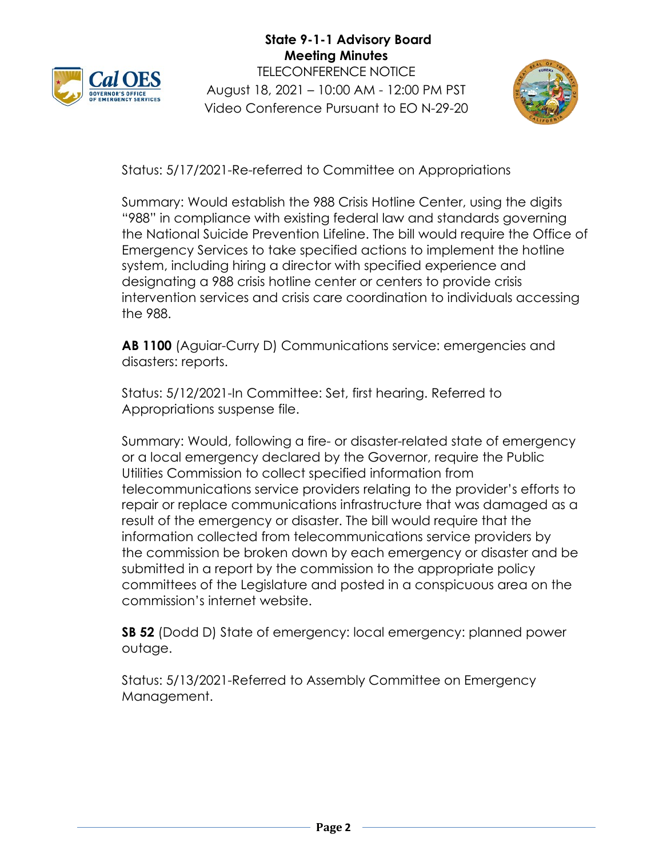



Status: 5/17/2021-Re-referred to Committee on Appropriations

Summary: Would establish the 988 Crisis Hotline Center, using the digits "988" in compliance with existing federal law and standards governing the National Suicide Prevention Lifeline. The bill would require the Office of Emergency Services to take specified actions to implement the hotline system, including hiring a director with specified experience and designating a 988 crisis hotline center or centers to provide crisis intervention services and crisis care coordination to individuals accessing the 988.

**AB 1100** (Aguiar-Curry D) Communications service: emergencies and disasters: reports.

Status: 5/12/2021-In Committee: Set, first hearing. Referred to Appropriations suspense file.

Summary: Would, following a fire- or disaster-related state of emergency or a local emergency declared by the Governor, require the Public Utilities Commission to collect specified information from telecommunications service providers relating to the provider's efforts to repair or replace communications infrastructure that was damaged as a result of the emergency or disaster. The bill would require that the information collected from telecommunications service providers by the commission be broken down by each emergency or disaster and be submitted in a report by the commission to the appropriate policy committees of the Legislature and posted in a conspicuous area on the commission's internet website.

**SB 52** (Dodd D) State of emergency: local emergency: planned power outage.

Status: 5/13/2021-Referred to Assembly Committee on Emergency Management.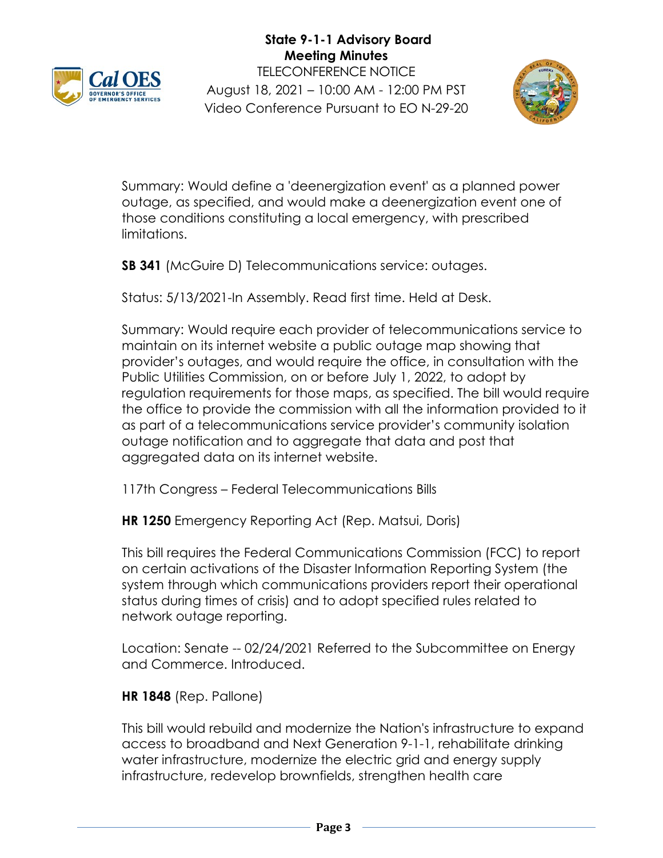



Summary: Would define a 'deenergization event' as a planned power outage, as specified, and would make a deenergization event one of those conditions constituting a local emergency, with prescribed limitations.

**SB 341** (McGuire D) Telecommunications service: outages.

Status: 5/13/2021-In Assembly. Read first time. Held at Desk.

Summary: Would require each provider of telecommunications service to maintain on its internet website a public outage map showing that provider's outages, and would require the office, in consultation with the Public Utilities Commission, on or before July 1, 2022, to adopt by regulation requirements for those maps, as specified. The bill would require the office to provide the commission with all the information provided to it as part of a telecommunications service provider's community isolation outage notification and to aggregate that data and post that aggregated data on its internet website.

117th Congress – Federal Telecommunications Bills

**HR 1250** Emergency Reporting Act (Rep. Matsui, Doris)

This bill requires the Federal Communications Commission (FCC) to report on certain activations of the Disaster Information Reporting System (the system through which communications providers report their operational status during times of crisis) and to adopt specified rules related to network outage reporting.

Location: Senate -- 02/24/2021 Referred to the Subcommittee on Energy and Commerce. Introduced.

## **HR 1848** (Rep. Pallone)

This bill would rebuild and modernize the Nation's infrastructure to expand access to broadband and Next Generation 9-1-1, rehabilitate drinking water infrastructure, modernize the electric grid and energy supply infrastructure, redevelop brownfields, strengthen health care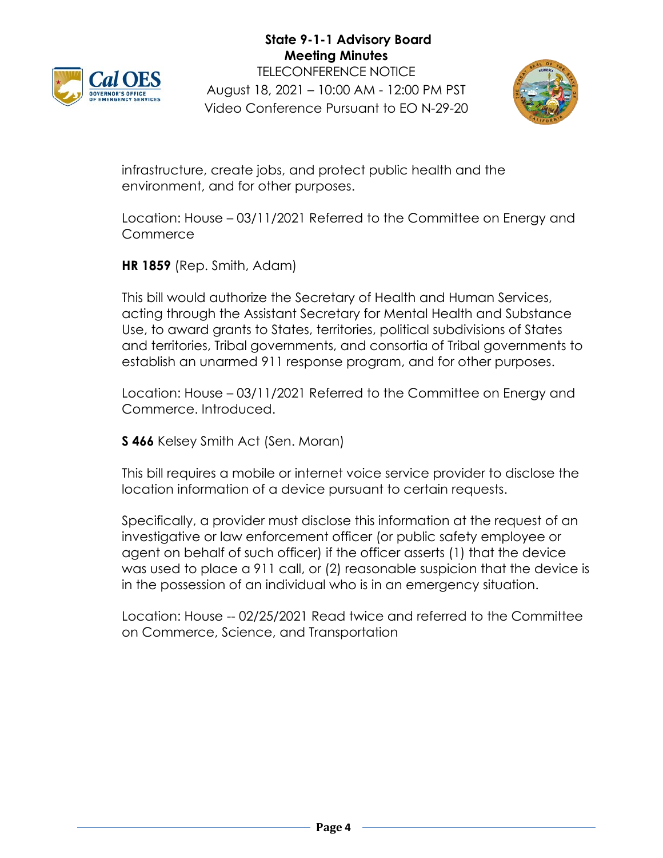



infrastructure, create jobs, and protect public health and the environment, and for other purposes.

Location: House – 03/11/2021 Referred to the Committee on Energy and **Commerce** 

**HR 1859** (Rep. Smith, Adam)

This bill would authorize the Secretary of Health and Human Services, acting through the Assistant Secretary for Mental Health and Substance Use, to award grants to States, territories, political subdivisions of States and territories, Tribal governments, and consortia of Tribal governments to establish an unarmed 911 response program, and for other purposes.

Location: House – 03/11/2021 Referred to the Committee on Energy and Commerce. Introduced.

**S 466** Kelsey Smith Act (Sen. Moran)

This bill requires a mobile or internet voice service provider to disclose the location information of a device pursuant to certain requests.

Specifically, a provider must disclose this information at the request of an investigative or law enforcement officer (or public safety employee or agent on behalf of such officer) if the officer asserts (1) that the device was used to place a 911 call, or (2) reasonable suspicion that the device is in the possession of an individual who is in an emergency situation.

Location: House -- 02/25/2021 Read twice and referred to the Committee on Commerce, Science, and Transportation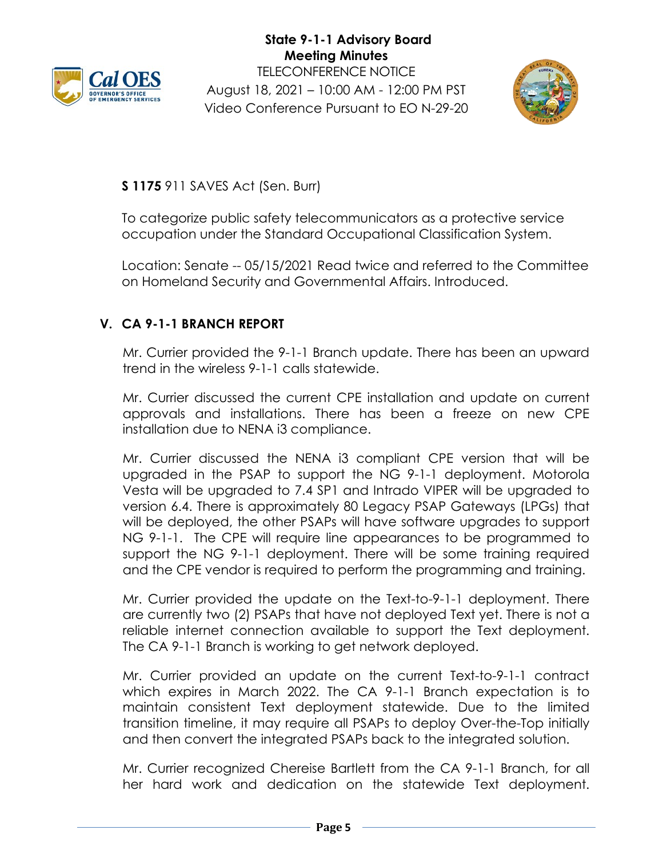



**S 1175** 911 SAVES Act (Sen. Burr)

To categorize public safety telecommunicators as a protective service occupation under the Standard Occupational Classification System.

Location: Senate -- 05/15/2021 Read twice and referred to the Committee on Homeland Security and Governmental Affairs. Introduced.

## **V. CA 9-1-1 BRANCH REPORT**

Mr. Currier provided the 9-1-1 Branch update. There has been an upward trend in the wireless 9-1-1 calls statewide.

Mr. Currier discussed the current CPE installation and update on current approvals and installations. There has been a freeze on new CPE installation due to NENA i3 compliance.

Mr. Currier discussed the NENA i3 compliant CPE version that will be upgraded in the PSAP to support the NG 9-1-1 deployment. Motorola Vesta will be upgraded to 7.4 SP1 and Intrado VIPER will be upgraded to version 6.4. There is approximately 80 Legacy PSAP Gateways (LPGs) that will be deployed, the other PSAPs will have software upgrades to support NG 9-1-1. The CPE will require line appearances to be programmed to support the NG 9-1-1 deployment. There will be some training required and the CPE vendor is required to perform the programming and training.

Mr. Currier provided the update on the Text-to-9-1-1 deployment. There are currently two (2) PSAPs that have not deployed Text yet. There is not a reliable internet connection available to support the Text deployment. The CA 9-1-1 Branch is working to get network deployed.

Mr. Currier provided an update on the current Text-to-9-1-1 contract which expires in March 2022. The CA 9-1-1 Branch expectation is to maintain consistent Text deployment statewide. Due to the limited transition timeline, it may require all PSAPs to deploy Over-the-Top initially and then convert the integrated PSAPs back to the integrated solution.

Mr. Currier recognized Chereise Bartlett from the CA 9-1-1 Branch, for all her hard work and dedication on the statewide Text deployment.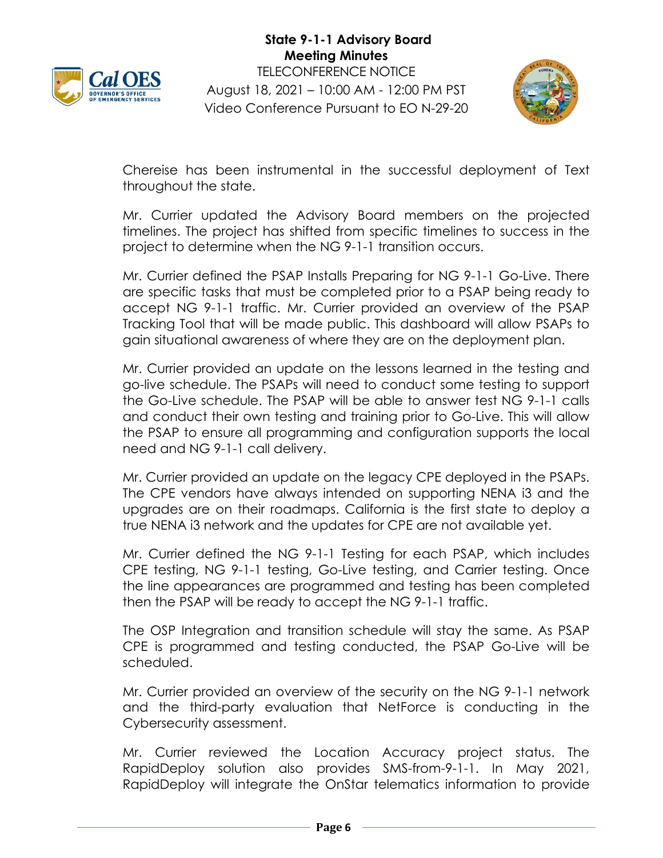



Chereise has been instrumental in the successful deployment of Text throughout the state.

Mr. Currier updated the Advisory Board members on the projected timelines. The project has shifted from specific timelines to success in the project to determine when the NG 9-1-1 transition occurs.

Mr. Currier defined the PSAP Installs Preparing for NG 9-1-1 Go-Live. There are specific tasks that must be completed prior to a PSAP being ready to accept NG 9-1-1 traffic. Mr. Currier provided an overview of the PSAP Tracking Tool that will be made public. This dashboard will allow PSAPs to gain situational awareness of where they are on the deployment plan.

Mr. Currier provided an update on the lessons learned in the testing and go-live schedule. The PSAPs will need to conduct some testing to support the Go-Live schedule. The PSAP will be able to answer test NG 9-1-1 calls and conduct their own testing and training prior to Go-Live. This will allow the PSAP to ensure all programming and configuration supports the local need and NG 9-1-1 call delivery.

Mr. Currier provided an update on the legacy CPE deployed in the PSAPs. The CPE vendors have always intended on supporting NENA i3 and the upgrades are on their roadmaps. California is the first state to deploy a true NENA i3 network and the updates for CPE are not available yet.

Mr. Currier defined the NG 9-1-1 Testing for each PSAP, which includes CPE testing, NG 9-1-1 testing, Go-Live testing, and Carrier testing. Once the line appearances are programmed and testing has been completed then the PSAP will be ready to accept the NG 9-1-1 traffic.

The OSP Integration and transition schedule will stay the same. As PSAP CPE is programmed and testing conducted, the PSAP Go-Live will be scheduled.

Mr. Currier provided an overview of the security on the NG 9-1-1 network and the third-party evaluation that NetForce is conducting in the Cybersecurity assessment.

Mr. Currier reviewed the Location Accuracy project status. The RapidDeploy solution also provides SMS-from-9-1-1. In May 2021, RapidDeploy will integrate the OnStar telematics information to provide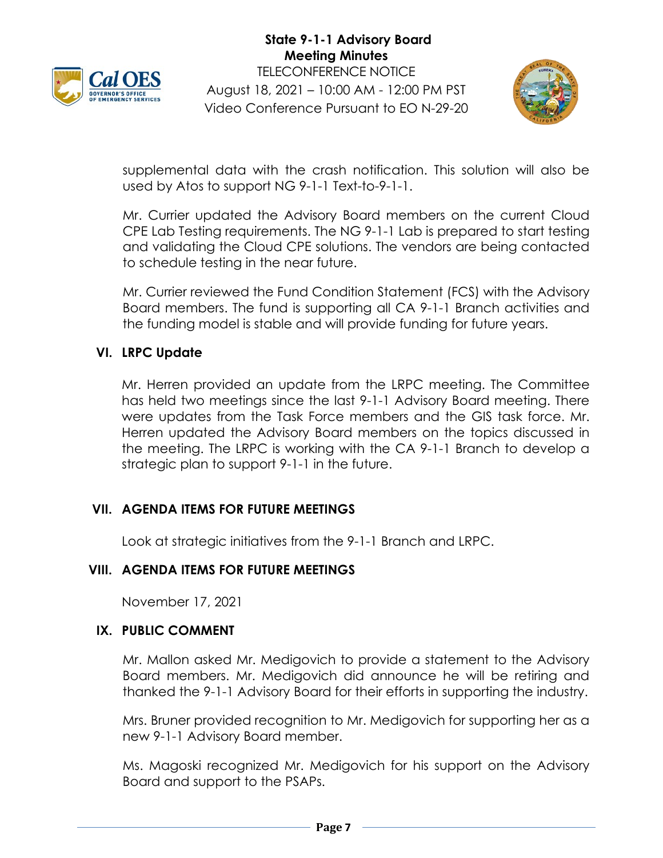



supplemental data with the crash notification. This solution will also be used by Atos to support NG 9-1-1 Text-to-9-1-1.

Mr. Currier updated the Advisory Board members on the current Cloud CPE Lab Testing requirements. The NG 9-1-1 Lab is prepared to start testing and validating the Cloud CPE solutions. The vendors are being contacted to schedule testing in the near future.

Mr. Currier reviewed the Fund Condition Statement (FCS) with the Advisory Board members. The fund is supporting all CA 9-1-1 Branch activities and the funding model is stable and will provide funding for future years.

## **VI. LRPC Update**

Mr. Herren provided an update from the LRPC meeting. The Committee has held two meetings since the last 9-1-1 Advisory Board meeting. There were updates from the Task Force members and the GIS task force. Mr. Herren updated the Advisory Board members on the topics discussed in the meeting. The LRPC is working with the CA 9-1-1 Branch to develop a strategic plan to support 9-1-1 in the future.

## **VII. AGENDA ITEMS FOR FUTURE MEETINGS**

Look at strategic initiatives from the 9-1-1 Branch and LRPC.

## **VIII. AGENDA ITEMS FOR FUTURE MEETINGS**

November 17, 2021

#### **IX. PUBLIC COMMENT**

Mr. Mallon asked Mr. Medigovich to provide a statement to the Advisory Board members. Mr. Medigovich did announce he will be retiring and thanked the 9-1-1 Advisory Board for their efforts in supporting the industry.

Mrs. Bruner provided recognition to Mr. Medigovich for supporting her as a new 9-1-1 Advisory Board member.

Ms. Magoski recognized Mr. Medigovich for his support on the Advisory Board and support to the PSAPs.